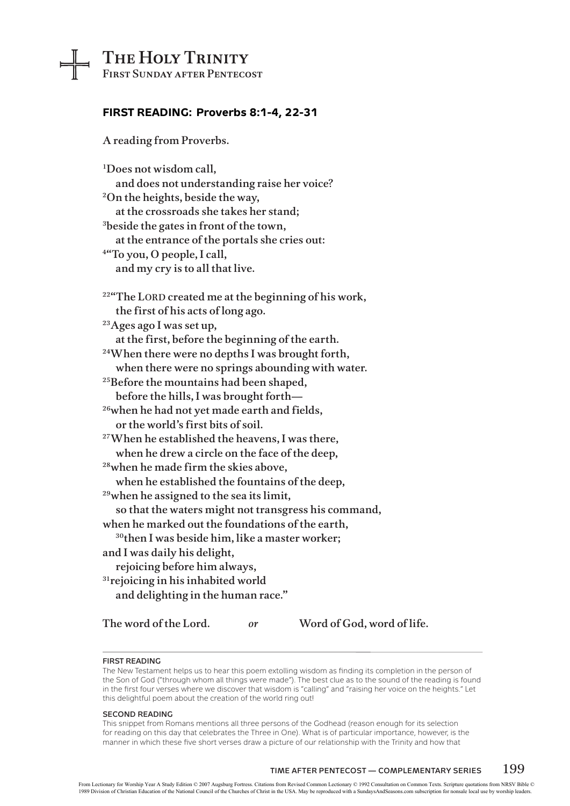# The Holy Trinity

┵

First Sunday after Pentecost

## **FIRST READING: Proverbs 8:1-4, 22-31**

A reading from Proverbs.

| <sup>1</sup> Does not wisdom call,                               |
|------------------------------------------------------------------|
| and does not understanding raise her voice?                      |
| <sup>2</sup> On the heights, beside the way,                     |
| at the crossroads she takes her stand;                           |
| <sup>3</sup> beside the gates in front of the town,              |
| at the entrance of the portals she cries out:                    |
| <sup>4"</sup> To you, O people, I call,                          |
| and my cry is to all that live.                                  |
| <sup>22</sup> "The LORD created me at the beginning of his work, |
| the first of his acts of long ago.                               |
| <sup>23</sup> Ages ago I was set up,                             |
| at the first, before the beginning of the earth.                 |
| <sup>24</sup> When there were no depths I was brought forth,     |
| when there were no springs abounding with water.                 |
| <sup>25</sup> Before the mountains had been shaped,              |
| before the hills, I was brought forth-                           |
| <sup>26</sup> when he had not yet made earth and fields,         |
| or the world's first bits of soil.                               |
| <sup>27</sup> When he established the heavens, I was there,      |
| when he drew a circle on the face of the deep,                   |
| <sup>28</sup> when he made firm the skies above,                 |
| when he established the fountains of the deep,                   |
| <sup>29</sup> when he assigned to the sea its limit,             |
| so that the waters might not transgress his command,             |
| when he marked out the foundations of the earth,                 |
| <sup>30</sup> then I was beside him, like a master worker;       |
| and I was daily his delight,                                     |
| rejoicing before him always,                                     |
| <sup>31</sup> rejoicing in his inhabited world                   |
| and delighting in the human race."                               |
| The word of the Lord.<br>Word of God, word of life.<br>or        |

#### **First Reading**

The New Testament helps us to hear this poem extolling wisdom as finding its completion in the person of the Son of God ("through whom all things were made"). The best clue as to the sound of the reading is found in the first four verses where we discover that wisdom is "calling" and "raising her voice on the heights." Let this delightful poem about the creation of the world ring out!

#### **Second Reading**

This snippet from Romans mentions all three persons of the Godhead (reason enough for its selection for reading on this day that celebrates the Three in One). What is of particular importance, however, is the manner in which these five short verses draw a picture of our relationship with the Trinity and how that